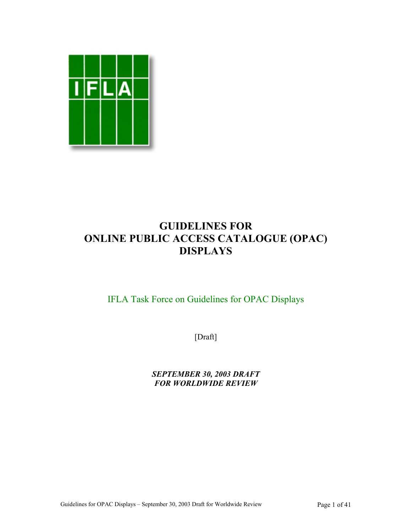

# **GUIDELINES FOR ONLINE PUBLIC ACCESS CATALOGUE (OPAC) DISPLAYS**

# IFLA Task Force on Guidelines for OPAC Displays

[Draft]

*SEPTEMBER 30, 2003 DRAFT FOR WORLDWIDE REVIEW*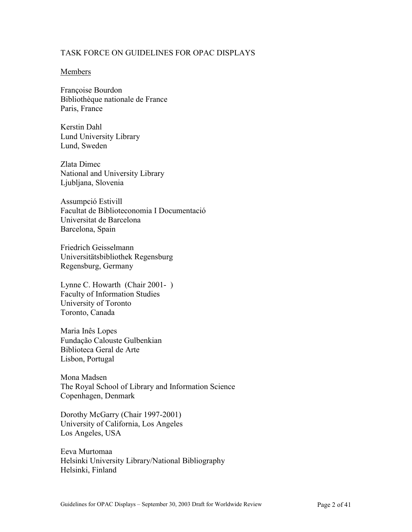#### TASK FORCE ON GUIDELINES FOR OPAC DISPLAYS

#### Members

Françoise Bourdon Bibliothèque nationale de France Paris, France

Kerstin Dahl Lund University Library Lund, Sweden

Zlata Dimec National and University Library Ljubljana, Slovenia

Assumpció Estivill Facultat de Biblioteconomia I Documentació Universitat de Barcelona Barcelona, Spain

Friedrich Geisselmann Universitätsbibliothek Regensburg Regensburg, Germany

Lynne C. Howarth (Chair 2001- ) Faculty of Information Studies University of Toronto Toronto, Canada

Maria Inês Lopes Fundação Calouste Gulbenkian Biblioteca Geral de Arte Lisbon, Portugal

Mona Madsen The Royal School of Library and Information Science Copenhagen, Denmark

Dorothy McGarry (Chair 1997-2001) University of California, Los Angeles Los Angeles, USA

Eeva Murtomaa Helsinki University Library/National Bibliography Helsinki, Finland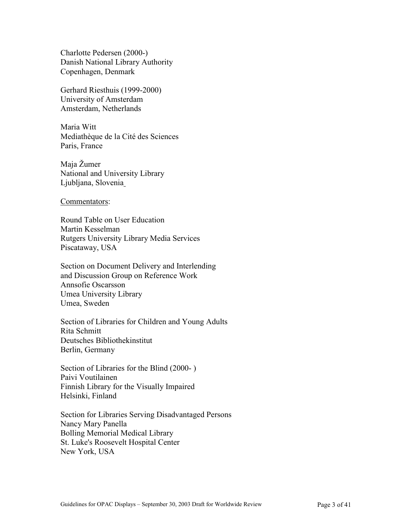Charlotte Pedersen (2000-) Danish National Library Authority Copenhagen, Denmark

Gerhard Riesthuis (1999-2000) University of Amsterdam Amsterdam, Netherlands

Maria Witt Mediathèque de la Cité des Sciences Paris, France

Maja Žumer National and University Library Ljubljana, Slovenia

Commentators:

Round Table on User Education Martin Kesselman Rutgers University Library Media Services Piscataway, USA

Section on Document Delivery and Interlending and Discussion Group on Reference Work Annsofie Oscarsson Umea University Library Umea, Sweden

Section of Libraries for Children and Young Adults Rita Schmitt Deutsches Bibliothekinstitut Berlin, Germany

Section of Libraries for the Blind (2000- ) Paivi Voutilainen Finnish Library for the Visually Impaired Helsinki, Finland

Section for Libraries Serving Disadvantaged Persons Nancy Mary Panella Bolling Memorial Medical Library St. Luke's Roosevelt Hospital Center New York, USA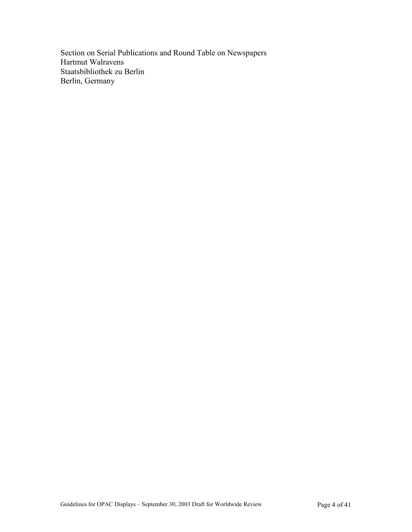Section on Serial Publications and Round Table on Newspapers Hartmut Walravens Staatsbibliothek zu Berlin Berlin, Germany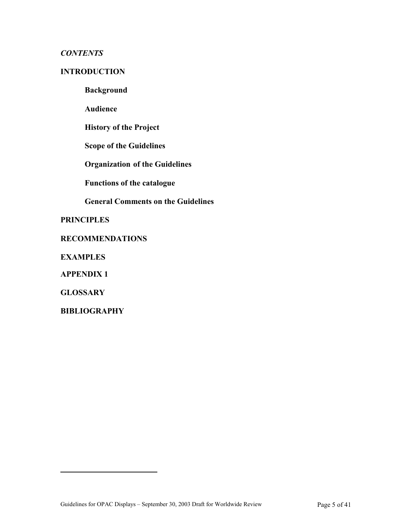## *CONTENTS*

## **INTRODUCTION**

**Background** 

**Audience** 

**History of the Project**

**Scope of the Guidelines** 

**Organization of the Guidelines**

**Functions of the catalogue**

**General Comments on the Guidelines**

**PRINCIPLES**

#### **RECOMMENDATIONS**

**EXAMPLES**

**APPENDIX 1**

**GLOSSARY**

<span id="page-4-0"></span> $\overline{a}$ 

**BIBLIOGRAPHY**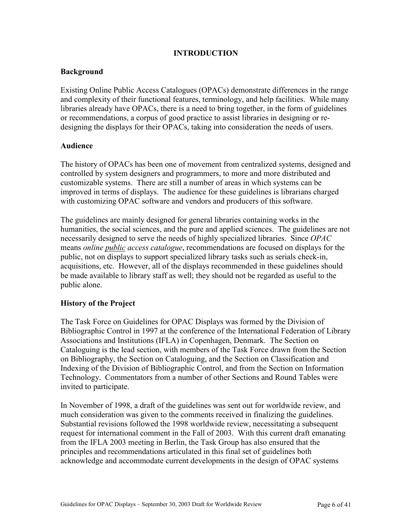## **INTRODUCTION**

#### **Background**

Existing Online Public Access Catalogues (OPACs) demonstrate differences in the range and complexity of their functional features, terminology, and help facilities. While many libraries already have OPACs, there is a need to bring together, in the form of guidelines or recommendations, a corpus of good practice to assist libraries in designing or redesigning the displays for their OPACs, taking into consideration the needs of users.

#### **Audience**

The history of OPACs has been one of movement from centralized systems, designed and controlled by system designers and programmers, to more and more distributed and customizable systems. There are still a number of areas in which systems can be improved in terms of displays. The audience for these guidelines is librarians charged with customizing OPAC software and vendors and producers of this software.

The guidelines are mainly designed for general libraries containing works in the humanities, the social sciences, and the pure and applied sciences. The guidelines are not necessarily designed to serve the needs of highly specialized libraries. Since *OPAC* means *online public access catalogue*, recommendations are focused on displays for the public, not on displays to support specialized library tasks such as serials check-in, acquisitions, etc. However, all of the displays recommended in these guidelines should be made available to library staff as well; they should not be regarded as useful to the public alone.

#### **History of the Project**

The Task Force on Guidelines for OPAC Displays was formed by the Division of Bibliographic Control in 1997 at the conference of the International Federation of Library Associations and Institutions (IFLA) in Copenhagen, Denmark. The Section on Cataloguing is the lead section, with members of the Task Force drawn from the Section on Bibliography, the Section on Cataloguing, and the Section on Classification and Indexing of the Division of Bibliographic Control, and from the Section on Information Technology. Commentators from a number of other Sections and Round Tables were invited to participate.

In November of 1998, a draft of the guidelines was sent out for worldwide review, and much consideration was given to the comments received in finalizing the guidelines. Substantial revisions followed the 1998 worldwide review, necessitating a subsequent request for international comment in the Fall of 2003. With this current draft emanating from the IFLA 2003 meeting in Berlin, the Task Group has also ensured that the principles and recommendations articulated in this final set of guidelines both acknowledge and accommodate current developments in the design of OPAC systems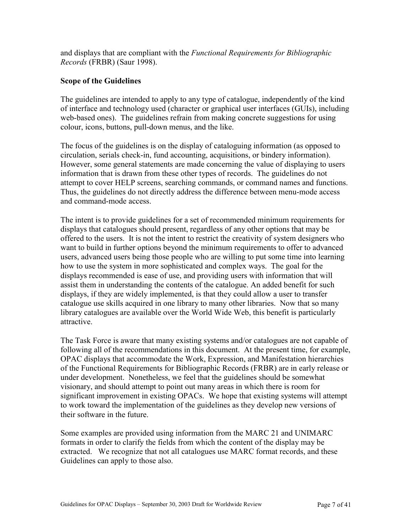and displays that are compliant with the *Functional Requirements for Bibliographic Records* (FRBR) (Saur 1998).

#### **Scope of the Guidelines**

The guidelines are intended to apply to any type of catalogue, independently of the kind of interface and technology used (character or graphical user interfaces (GUIs), including web-based ones). The guidelines refrain from making concrete suggestions for using colour, icons, buttons, pull-down menus, and the like.

The focus of the guidelines is on the display of cataloguing information (as opposed to circulation, serials check-in, fund accounting, acquisitions, or bindery information). However, some general statements are made concerning the value of displaying to users information that is drawn from these other types of records. The guidelines do not attempt to cover HELP screens, searching commands, or command names and functions. Thus, the guidelines do not directly address the difference between menu-mode access and command-mode access.

The intent is to provide guidelines for a set of recommended minimum requirements for displays that catalogues should present, regardless of any other options that may be offered to the users. It is not the intent to restrict the creativity of system designers who want to build in further options beyond the minimum requirements to offer to advanced users, advanced users being those people who are willing to put some time into learning how to use the system in more sophisticated and complex ways. The goal for the displays recommended is ease of use, and providing users with information that will assist them in understanding the contents of the catalogue. An added benefit for such displays, if they are widely implemented, is that they could allow a user to transfer catalogue use skills acquired in one library to many other libraries. Now that so many library catalogues are available over the World Wide Web, this benefit is particularly attractive.

The Task Force is aware that many existing systems and/or catalogues are not capable of following all of the recommendations in this document. At the present time, for example, OPAC displays that accommodate the Work, Expression, and Manifestation hierarchies of the Functional Requirements for Bibliographic Records (FRBR) are in early release or under development. Nonetheless, we feel that the guidelines should be somewhat visionary, and should attempt to point out many areas in which there is room for significant improvement in existing OPACs. We hope that existing systems will attempt to work toward the implementation of the guidelines as they develop new versions of their software in the future.

Some examples are provided using information from the MARC 21 and UNIMARC formats in order to clarify the fields from which the content of the display may be extracted. We recognize that not all catalogues use MARC format records, and these Guidelines can apply to those also.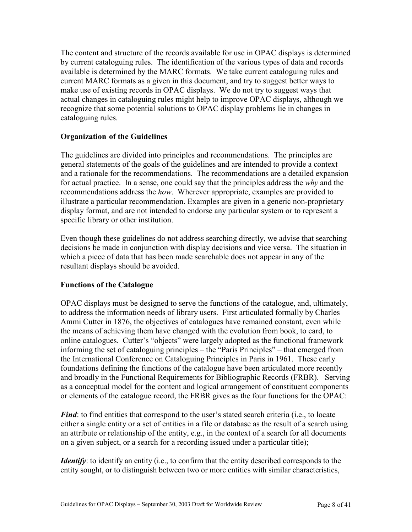The content and structure of the records available for use in OPAC displays is determined by current cataloguing rules. The identification of the various types of data and records available is determined by the MARC formats. We take current cataloguing rules and current MARC formats as a given in this document, and try to suggest better ways to make use of existing records in OPAC displays. We do not try to suggest ways that actual changes in cataloguing rules might help to improve OPAC displays, although we recognize that some potential solutions to OPAC display problems lie in changes in cataloguing rules.

## **Organization of the Guidelines**

The guidelines are divided into principles and recommendations. The principles are general statements of the goals of the guidelines and are intended to provide a context and a rationale for the recommendations. The recommendations are a detailed expansion for actual practice. In a sense, one could say that the principles address the *why* and the recommendations address the *how*. Wherever appropriate, examples are provided to illustrate a particular recommendation. Examples are given in a generic non-proprietary display format, and are not intended to endorse any particular system or to represent a specific library or other institution.

Even though these guidelines do not address searching directly, we advise that searching decisions be made in conjunction with display decisions and vice versa. The situation in which a piece of data that has been made searchable does not appear in any of the resultant displays should be avoided.

## **Functions of the Catalogue**

OPAC displays must be designed to serve the functions of the catalogue, and, ultimately, to address the information needs of library users. First articulated formally by Charles Ammi Cutter in 1876, the objectives of catalogues have remained constant, even while the means of achieving them have changed with the evolution from book, to card, to online catalogues. Cutter's "objects" were largely adopted as the functional framework informing the set of cataloguing principles – the "Paris Principles" – that emerged from the International Conference on Cataloguing Principles in Paris in 1961. These early foundations defining the functions of the catalogue have been articulated more recently and broadly in the Functional Requirements for Bibliographic Records (FRBR). Serving as a conceptual model for the content and logical arrangement of constituent components or elements of the catalogue record, the FRBR gives as the four functions for the OPAC:

*Find*: to find entities that correspond to the user's stated search criteria (i.e., to locate either a single entity or a set of entities in a file or database as the result of a search using an attribute or relationship of the entity, e.g., in the context of a search for all documents on a given subject, or a search for a recording issued under a particular title);

*Identify*: to identify an entity (i.e., to confirm that the entity described corresponds to the entity sought, or to distinguish between two or more entities with similar characteristics,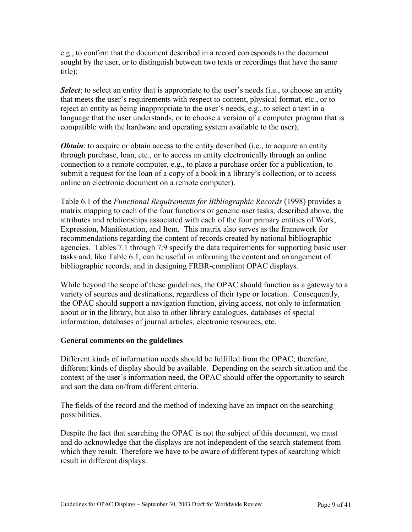e.g., to confirm that the document described in a record corresponds to the document sought by the user, or to distinguish between two texts or recordings that have the same title);

**Select**: to select an entity that is appropriate to the user's needs (i.e., to choose an entity that meets the user's requirements with respect to content, physical format, etc., or to reject an entity as being inappropriate to the user's needs, e.g., to select a text in a language that the user understands, or to choose a version of a computer program that is compatible with the hardware and operating system available to the user);

*Obtain*: to acquire or obtain access to the entity described (i.e., to acquire an entity through purchase, loan, etc., or to access an entity electronically through an online connection to a remote computer, e.g., to place a purchase order for a publication, to submit a request for the loan of a copy of a book in a library's collection, or to access online an electronic document on a remote computer).

Table 6.1 of the *Functional Requirements for Bibliographic Records* (1998) provides a matrix mapping to each of the four functions or generic user tasks, described above, the attributes and relationships associated with each of the four primary entities of Work, Expression, Manifestation, and Item. This matrix also serves as the framework for recommendations regarding the content of records created by national bibliographic agencies. Tables 7.1 through 7.9 specify the data requirements for supporting basic user tasks and, like Table 6.1, can be useful in informing the content and arrangement of bibliographic records, and in designing FRBR-compliant OPAC displays.

While beyond the scope of these guidelines, the OPAC should function as a gateway to a variety of sources and destinations, regardless of their type or location. Consequently, the OPAC should support a navigation function, giving access, not only to information about or in the library, but also to other library catalogues, databases of special information, databases of journal articles, electronic resources, etc.

#### **General comments on the guidelines**

Different kinds of information needs should be fulfilled from the OPAC; therefore, different kinds of display should be available. Depending on the search situation and the context of the user's information need, the OPAC should offer the opportunity to search and sort the data on/from different criteria.

The fields of the record and the method of indexing have an impact on the searching possibilities.

Despite the fact that searching the OPAC is not the subject of this document, we must and do acknowledge that the displays are not independent of the search statement from which they result. Therefore we have to be aware of different types of searching which result in different displays.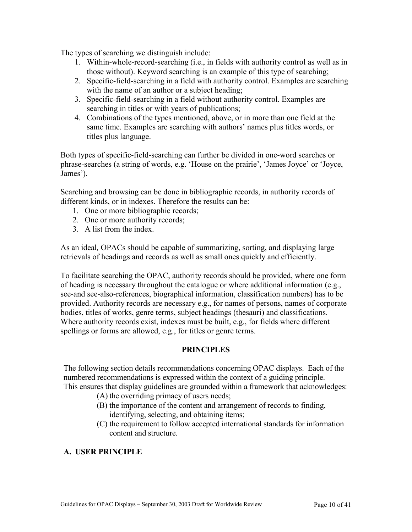The types of searching we distinguish include:

- 1. Within-whole-record-searching (i.e., in fields with authority control as well as in those without). Keyword searching is an example of this type of searching;
- 2. Specific-field-searching in a field with authority control. Examples are searching with the name of an author or a subject heading;
- 3. Specific-field-searching in a field without authority control. Examples are searching in titles or with years of publications;
- 4. Combinations of the types mentioned, above, or in more than one field at the same time. Examples are searching with authors' names plus titles words, or titles plus language.

Both types of specific-field-searching can further be divided in one-word searches or phrase-searches (a string of words, e.g. 'House on the prairie', 'James Joyce' or 'Joyce, James').

Searching and browsing can be done in bibliographic records, in authority records of different kinds, or in indexes. Therefore the results can be:

- 1. One or more bibliographic records;
- 2. One or more authority records;
- 3. A list from the index.

As an ideal*,* OPACs should be capable of summarizing, sorting, and displaying large retrievals of headings and records as well as small ones quickly and efficiently.

To facilitate searching the OPAC, authority records should be provided, where one form of heading is necessary throughout the catalogue or where additional information (e.g., see-and see-also-references, biographical information, classification numbers) has to be provided. Authority records are necessary e.g., for names of persons, names of corporate bodies, titles of works, genre terms, subject headings (thesauri) and classifications. Where authority records exist, indexes must be built, e.g., for fields where different spellings or forms are allowed, e.g., for titles or genre terms.

#### **PRINCIPLES**

The following section details recommendations concerning OPAC displays. Each of the numbered recommendations is expressed within the context of a guiding principle. This ensures that display guidelines are grounded within a framework that acknowledges:

- (A) the overriding primacy of users needs;
- (B) the importance of the content and arrangement of records to finding, identifying, selecting, and obtaining items;
- (C) the requirement to follow accepted international standards for information content and structure.

## **A. USER PRINCIPLE**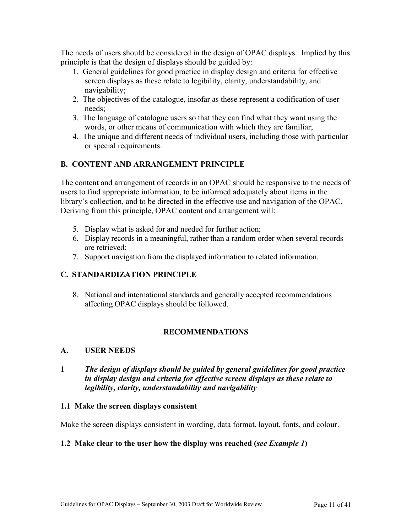The needs of users should be considered in the design of OPAC displays. Implied by this principle is that the design of displays should be guided by:

- 1. General guidelines for good practice in display design and criteria for effective screen displays as these relate to legibility, clarity, understandability, and navigability;
- 2. The objectives of the catalogue, insofar as these represent a codification of user needs;
- 3. The language of catalogue users so that they can find what they want using the words, or other means of communication with which they are familiar;
- 4. The unique and different needs of individual users, including those with particular or special requirements.

## **B. CONTENT AND ARRANGEMENT PRINCIPLE**

The content and arrangement of records in an OPAC should be responsive to the needs of users to find appropriate information, to be informed adequately about items in the library's collection, and to be directed in the effective use and navigation of the OPAC. Deriving from this principle, OPAC content and arrangement will:

- 5. Display what is asked for and needed for further action;
- 6. Display records in a meaningful, rather than a random order when several records are retrieved;
- 7. Support navigation from the displayed information to related information.

## **C. STANDARDIZATION PRINCIPLE**

8. National and international standards and generally accepted recommendations affecting OPAC displays should be followed.

## **RECOMMENDATIONS**

#### **A. USER NEEDS**

**1** *The design of displays should be guided by general guidelines for good practice in display design and criteria for effective screen displays as these relate to legibility, clarity, understandability and navigability*

#### **1.1 Make the screen displays consistent**

Make the screen displays consistent in wording, data format, layout, fonts, and colour.

#### **1.2 Make clear to the user how the display was reached (***see Example 1***)**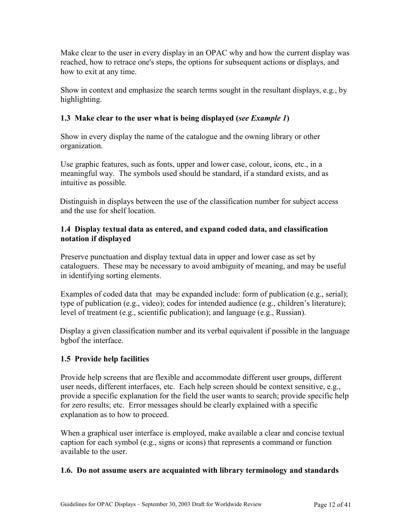Make clear to the user in every display in an OPAC why and how the current display was reached, how to retrace one's steps, the options for subsequent actions or displays, and how to exit at any time.

Show in context and emphasize the search terms sought in the resultant displays, e.g., by highlighting.

# **1.3 Make clear to the user what is being displayed (***see Example 1***)**

Show in every display the name of the catalogue and the owning library or other organization.

Use graphic features, such as fonts, upper and lower case, colour, icons, etc., in a meaningful way. The symbols used should be standard, if a standard exists, and as intuitive as possible.

Distinguish in displays between the use of the classification number for subject access and the use for shelf location.

# **1.4 Display textual data as entered, and expand coded data, and classification notation if displayed**

Preserve punctuation and display textual data in upper and lower case as set by cataloguers. These may be necessary to avoid ambiguity of meaning, and may be useful in identifying sorting elements.

Examples of coded data that may be expanded include: form of publication (e.g., serial); type of publication (e.g., video); codes for intended audience (e.g., children's literature); level of treatment (e.g., scientific publication); and language (e.g., Russian).

Display a given classification number and its verbal equivalent if possible in the language bgbof the interface.

# **1.5 Provide help facilities**

Provide help screens that are flexible and accommodate different user groups, different user needs, different interfaces, etc. Each help screen should be context sensitive, e.g., provide a specific explanation for the field the user wants to search; provide specific help for zero results; etc. Error messages should be clearly explained with a specific explanation as to how to proceed.

When a graphical user interface is employed, make available a clear and concise textual caption for each symbol (e.g., signs or icons) that represents a command or function available to the user.

# **1.6. Do not assume users are acquainted with library terminology and standards**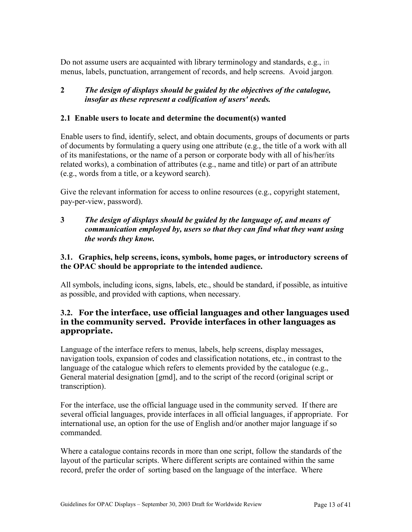Do not assume users are acquainted with library terminology and standards, e.g., in menus, labels, punctuation, arrangement of records, and help screens. Avoid jargon.

## **2** *The design of displays should be guided by the objectives of the catalogue, insofar as these represent a codification of users' needs.*

## **2.1 Enable users to locate and determine the document(s) wanted**

Enable users to find, identify, select, and obtain documents, groups of documents or parts of documents by formulating a query using one attribute (e.g., the title of a work with all of its manifestations, or the name of a person or corporate body with all of his/her/its related works), a combination of attributes (e.g., name and title) or part of an attribute (e.g., words from a title, or a keyword search).

Give the relevant information for access to online resources (e.g., copyright statement, pay-per-view, password).

**3** *The design of displays should be guided by the language of, and means of communication employed by, users so that they can find what they want using the words they know.*

## **3.1. Graphics, help screens, icons, symbols, home pages, or introductory screens of the OPAC should be appropriate to the intended audience.**

All symbols, including icons, signs, labels, etc., should be standard, if possible, as intuitive as possible, and provided with captions, when necessary.

## **3.2. For the interface, use official languages and other languages used in the community served. Provide interfaces in other languages as appropriate.**

Language of the interface refers to menus, labels, help screens, display messages, navigation tools, expansion of codes and classification notations, etc., in contrast to the language of the catalogue which refers to elements provided by the catalogue (e.g., General material designation [gmd], and to the script of the record (original script or transcription).

For the interface, use the official language used in the community served. If there are several official languages, provide interfaces in all official languages, if appropriate. For international use, an option for the use of English and/or another major language if so commanded.

Where a catalogue contains records in more than one script, follow the standards of the layout of the particular scripts. Where different scripts are contained within the same record, prefer the order of sorting based on the language of the interface. Where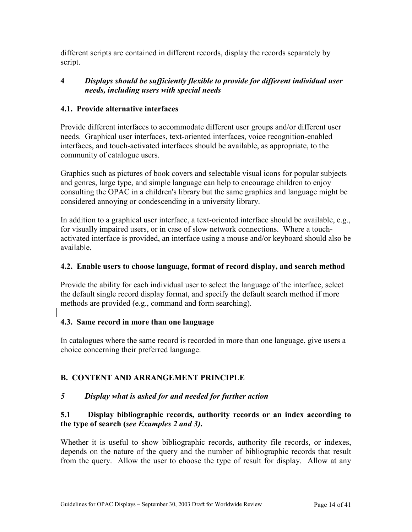different scripts are contained in different records, display the records separately by script.

## **4** *Displays should be sufficiently flexible to provide for different individual user needs, including users with special needs*

## **4.1. Provide alternative interfaces**

Provide different interfaces to accommodate different user groups and/or different user needs. Graphical user interfaces, text-oriented interfaces, voice recognition-enabled interfaces, and touch-activated interfaces should be available, as appropriate, to the community of catalogue users.

Graphics such as pictures of book covers and selectable visual icons for popular subjects and genres, large type, and simple language can help to encourage children to enjoy consulting the OPAC in a children's library but the same graphics and language might be considered annoying or condescending in a university library.

In addition to a graphical user interface, a text-oriented interface should be available, e.g., for visually impaired users, or in case of slow network connections. Where a touchactivated interface is provided, an interface using a mouse and/or keyboard should also be available.

## **4.2. Enable users to choose language, format of record display, and search method**

Provide the ability for each individual user to select the language of the interface, select the default single record display format, and specify the default search method if more methods are provided (e.g., command and form searching).

## **4.3. Same record in more than one language**

In catalogues where the same record is recorded in more than one language, give users a choice concerning their preferred language.

# **B. CONTENT AND ARRANGEMENT PRINCIPLE**

## *5 Display what is asked for and needed for further action*

# **5.1 Display bibliographic records, authority records or an index according to the type of search (***see Examples 2 and 3)***.**

Whether it is useful to show bibliographic records, authority file records, or indexes, depends on the nature of the query and the number of bibliographic records that result from the query. Allow the user to choose the type of result for display. Allow at any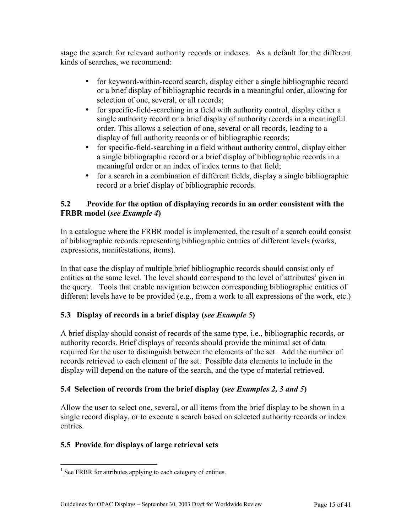stage the search for relevant authority records or indexes. As a default for the different kinds of searches, we recommend:

- for keyword-within-record search, display either a single bibliographic record or a brief display of bibliographic records in a meaningful order, allowing for selection of one, several, or all records;
- for specific-field-searching in a field with authority control, display either a single authority record or a brief display of authority records in a meaningful order. This allows a selection of one, several or all records, leading to a display of full authority records or of bibliographic records;
- for specific-field-searching in a field without authority control, display either a single bibliographic record or a brief display of bibliographic records in a meaningful order or an index of index terms to that field;
- for a search in a combination of different fields, display a single bibliographic record or a brief display of bibliographic records.

## **5.2 Provide for the option of displaying records in an order consistent with the FRBR model (***see Example 4***)**

In a catalogue where the FRBR model is implemented, the result of a search could consist of bibliographic records representing bibliographic entities of different levels (works, expressions, manifestations, items).

In that case the display of multiple brief bibliographic records should consist only of entities at the same level. The level should correspond to the level of attributes<sup>1</sup> given in the query. Tools that enable navigation between corresponding bibliographic entities of different levels have to be provided (e.g., from a work to all expressions of the work, etc.)

# **5.3 Display of records in a brief display (***see Example 5***)**

A brief display should consist of records of the same type, i.e., bibliographic records, or authority records. Brief displays of records should provide the minimal set of data required for the user to distinguish between the elements of the set. Add the number of records retrieved to each element of the set. Possible data elements to include in the display will depend on the nature of the search, and the type of material retrieved.

# **5.4 Selection of records from the brief display (***see Examples 2, 3 and 5***)**

Allow the user to select one, several, or all items from the brief display to be shown in a single record display, or to execute a search based on selected authority records or index entries.

# **5.5 Provide for displays of large retrieval sets**

<span id="page-14-0"></span> $\overline{a}$  $<sup>1</sup>$  See FRBR for attributes applying to each category of entities.</sup>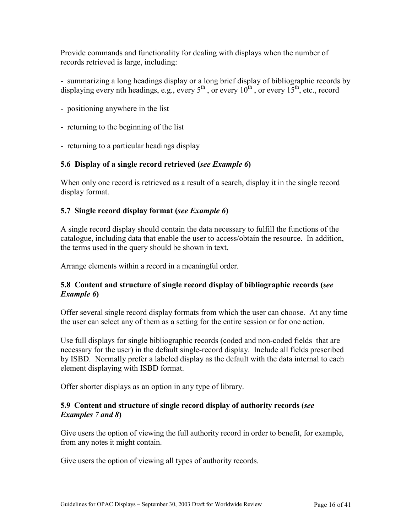Provide commands and functionality for dealing with displays when the number of records retrieved is large, including:

- summarizing a long headings display or a long brief display of bibliographic records by displaying every nth headings, e.g., every  $5^{th}$ , or every  $10^{th}$ , or every  $15^{th}$ , etc., record

- positioning anywhere in the list
- returning to the beginning of the list
- returning to a particular headings display

## **5.6 Display of a single record retrieved (***see Example 6***)**

When only one record is retrieved as a result of a search, display it in the single record display format.

## **5.7 Single record display format (***see Example 6***)**

A single record display should contain the data necessary to fulfill the functions of the catalogue, including data that enable the user to access/obtain the resource. In addition, the terms used in the query should be shown in text.

Arrange elements within a record in a meaningful order.

## **5.8 Content and structure of single record display of bibliographic records (***see Example 6***)**

Offer several single record display formats from which the user can choose. At any time the user can select any of them as a setting for the entire session or for one action.

Use full displays for single bibliographic records (coded and non-coded fields that are necessary for the user) in the default single-record display. Include all fields prescribed by ISBD. Normally prefer a labeled display as the default with the data internal to each element displaying with ISBD format.

Offer shorter displays as an option in any type of library.

## **5.9 Content and structure of single record display of authority records (***see Examples 7 and 8***)**

Give users the option of viewing the full authority record in order to benefit, for example, from any notes it might contain.

Give users the option of viewing all types of authority records.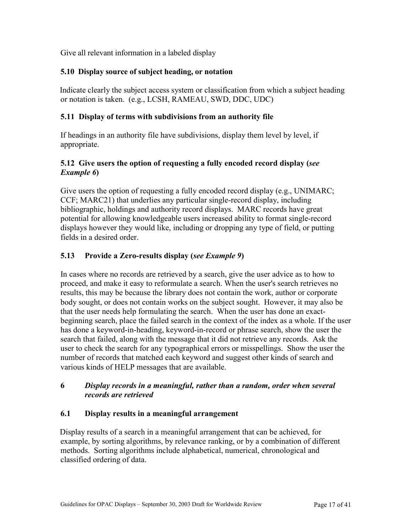Give all relevant information in a labeled display

# **5.10 Display source of subject heading, or notation**

Indicate clearly the subject access system or classification from which a subject heading or notation is taken. (e.g., LCSH, RAMEAU, SWD, DDC, UDC)

## **5.11 Display of terms with subdivisions from an authority file**

If headings in an authority file have subdivisions, display them level by level, if appropriate.

## **5.12 Give users the option of requesting a fully encoded record display (***see Example 6***)**

Give users the option of requesting a fully encoded record display (e.g., UNIMARC; CCF; MARC21) that underlies any particular single-record display, including bibliographic, holdings and authority record displays. MARC records have great potential for allowing knowledgeable users increased ability to format single-record displays however they would like, including or dropping any type of field, or putting fields in a desired order.

# **5.13 Provide a Zero-results display (***see Example 9***)**

In cases where no records are retrieved by a search, give the user advice as to how to proceed, and make it easy to reformulate a search. When the user's search retrieves no results, this may be because the library does not contain the work, author or corporate body sought, or does not contain works on the subject sought. However, it may also be that the user needs help formulating the search. When the user has done an exactbeginning search, place the failed search in the context of the index as a whole. If the user has done a keyword-in-heading, keyword-in-record or phrase search, show the user the search that failed, along with the message that it did not retrieve any records. Ask the user to check the search for any typographical errors or misspellings. Show the user the number of records that matched each keyword and suggest other kinds of search and various kinds of HELP messages that are available.

## **6** *Display records in a meaningful, rather than a random, order when several records are retrieved*

# **6.1 Display results in a meaningful arrangement**

Display results of a search in a meaningful arrangement that can be achieved, for example, by sorting algorithms, by relevance ranking, or by a combination of different methods. Sorting algorithms include alphabetical, numerical, chronological and classified ordering of data.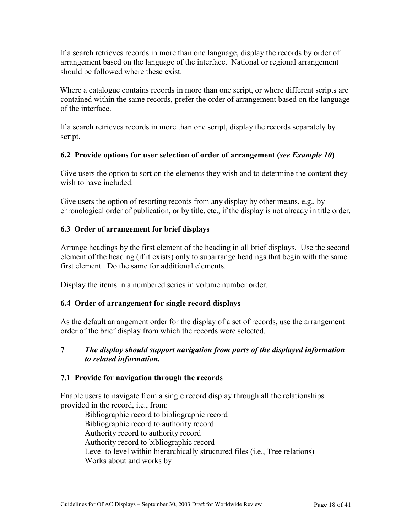If a search retrieves records in more than one language, display the records by order of arrangement based on the language of the interface. National or regional arrangement should be followed where these exist.

Where a catalogue contains records in more than one script, or where different scripts are contained within the same records, prefer the order of arrangement based on the language of the interface.

If a search retrieves records in more than one script, display the records separately by script.

## **6.2 Provide options for user selection of order of arrangement (***see Example 10***)**

Give users the option to sort on the elements they wish and to determine the content they wish to have included.

Give users the option of resorting records from any display by other means, e.g., by chronological order of publication, or by title, etc., if the display is not already in title order.

## **6.3 Order of arrangement for brief displays**

Arrange headings by the first element of the heading in all brief displays. Use the second element of the heading (if it exists) only to subarrange headings that begin with the same first element. Do the same for additional elements.

Display the items in a numbered series in volume number order.

# **6.4 Order of arrangement for single record displays**

As the default arrangement order for the display of a set of records, use the arrangement order of the brief display from which the records were selected.

#### **7** *The display should support navigation from parts of the displayed information to related information.*

## **7.1 Provide for navigation through the records**

Enable users to navigate from a single record display through all the relationships provided in the record, i.e., from:

Bibliographic record to bibliographic record Bibliographic record to authority record Authority record to authority record Authority record to bibliographic record Level to level within hierarchically structured files (i.e., Tree relations) Works about and works by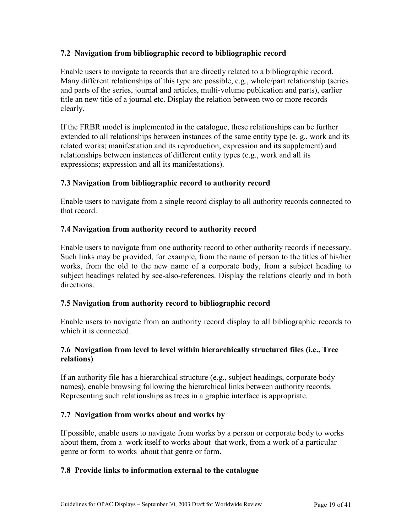#### **7.2 Navigation from bibliographic record to bibliographic record**

Enable users to navigate to records that are directly related to a bibliographic record. Many different relationships of this type are possible, e.g., whole/part relationship (series and parts of the series, journal and articles, multi-volume publication and parts), earlier title an new title of a journal etc. Display the relation between two or more records clearly.

If the FRBR model is implemented in the catalogue, these relationships can be further extended to all relationships between instances of the same entity type (e. g., work and its related works; manifestation and its reproduction; expression and its supplement) and relationships between instances of different entity types (e.g., work and all its expressions; expression and all its manifestations).

#### **7.3 Navigation from bibliographic record to authority record**

Enable users to navigate from a single record display to all authority records connected to that record.

#### **7.4 Navigation from authority record to authority record**

Enable users to navigate from one authority record to other authority records if necessary. Such links may be provided, for example, from the name of person to the titles of his/her works, from the old to the new name of a corporate body, from a subject heading to subject headings related by see-also-references. Display the relations clearly and in both directions.

#### **7.5 Navigation from authority record to bibliographic record**

Enable users to navigate from an authority record display to all bibliographic records to which it is connected

#### **7.6 Navigation from level to level within hierarchically structured files (i.e., Tree relations)**

If an authority file has a hierarchical structure (e.g., subject headings, corporate body names), enable browsing following the hierarchical links between authority records. Representing such relationships as trees in a graphic interface is appropriate.

#### **7.7 Navigation from works about and works by**

If possible, enable users to navigate from works by a person or corporate body to works about them, from a work itself to works about that work, from a work of a particular genre or form to works about that genre or form.

#### **7.8 Provide links to information external to the catalogue**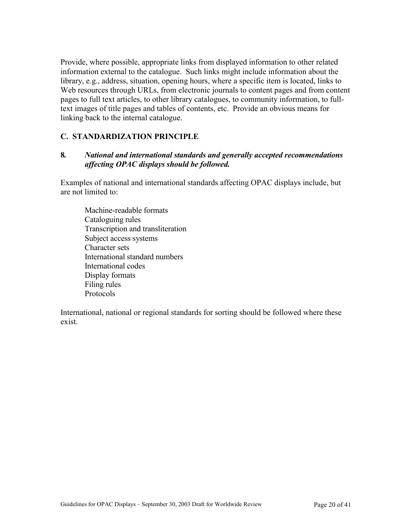Provide, where possible, appropriate links from displayed information to other related information external to the catalogue. Such links might include information about the library, e.g., address, situation, opening hours, where a specific item is located, links to Web resources through URLs, from electronic journals to content pages and from content pages to full text articles, to other library catalogues, to community information, to fulltext images of title pages and tables of contents, etc. Provide an obvious means for linking back to the internal catalogue.

#### **C. STANDARDIZATION PRINCIPLE**

## **8***. National and international standards and generally accepted recommendations affecting OPAC displays should be followed.*

Examples of national and international standards affecting OPAC displays include, but are not limited to:

Machine-readable formats Cataloguing rules Transcription and transliteration Subject access systems Character sets International standard numbers International codes Display formats Filing rules Protocols

International, national or regional standards for sorting should be followed where these exist.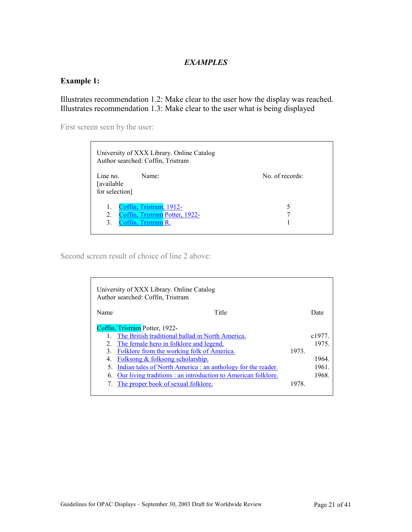#### *EXAMPLES*

## **Example 1:**

Illustrates recommendation 1.2: Make clear to the user how the display was reached. Illustrates recommendation 1.3: Make clear to the user what is being displayed

First screen seen by the user:

| University of XXX Library. Online Catalog<br>Author searched: Coffin, Tristram                     |                 |
|----------------------------------------------------------------------------------------------------|-----------------|
| Line no.<br>Name:<br>[available<br>for selection]                                                  | No. of records: |
| Coffin, Tristram, 1912-<br>1.<br>Coffin, Tristram Potter, 1922-<br>2.<br>Coffin, Tristram R.<br>3. | 5               |

Second screen result of choice of line 2 above:

|      | University of XXX Library. Online Catalog<br>Author searched: Coffin, Tristram |       |       |
|------|--------------------------------------------------------------------------------|-------|-------|
| Name | Title                                                                          |       | Date  |
|      | Coffin, Tristram Potter, 1922-                                                 |       |       |
|      | The British traditional ballad in North America.                               |       | c1977 |
|      | The female hero in folklore and legend.                                        |       | 1975  |
|      | Folklore from the working folk of America.                                     | 1973. |       |
| 4    | <u>Folksong &amp; folksong scholarship.</u>                                    |       | 1964  |
| 5.   | Indian tales of North America : an anthology for the reader.                   |       | 1961. |
| 6.   | Our living traditions: an introduction to American folklore.                   |       | 1968  |
|      | The proper book of sexual folklore.                                            | 1978  |       |
|      |                                                                                |       |       |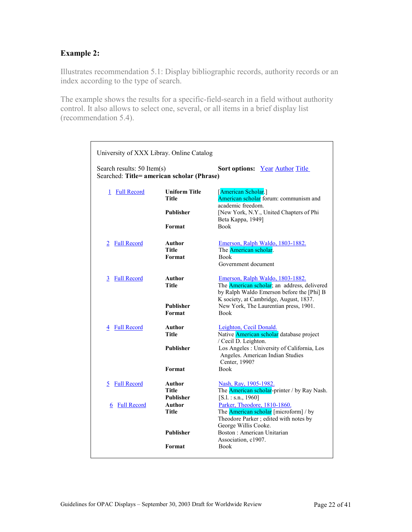## **Example 2:**

Illustrates recommendation 5.1: Display bibliographic records, authority records or an index according to the type of search.

The example shows the results for a specific-field-search in a field without authority control. It also allows to select one, several, or all items in a brief display list (recommendation 5.4).

| University of XXX Libray. Online Catalog                                                                           |                                            |                                                                                                                                                                                                                                        |  |  |
|--------------------------------------------------------------------------------------------------------------------|--------------------------------------------|----------------------------------------------------------------------------------------------------------------------------------------------------------------------------------------------------------------------------------------|--|--|
| Search results: 50 Item(s)<br><b>Sort options:</b> Year Author Title<br>Searched: Title= american scholar (Phrase) |                                            |                                                                                                                                                                                                                                        |  |  |
| <b>Full Record</b><br>1                                                                                            | <b>Uniform Title</b><br><b>Title</b>       | [American Scholar.]<br>American scholar forum: communism and<br>academic freedom.                                                                                                                                                      |  |  |
|                                                                                                                    | <b>Publisher</b>                           | [New York, N.Y., United Chapters of Phi<br>Beta Kappa, 1949]                                                                                                                                                                           |  |  |
|                                                                                                                    | Format                                     | <b>Book</b>                                                                                                                                                                                                                            |  |  |
| <b>Full Record</b>                                                                                                 | Author<br>Title<br>Format                  | <u>Emerson, Ralph Waldo, 1803-1882.</u><br>The American scholar.<br><b>Book</b><br>Government document                                                                                                                                 |  |  |
| 3 Full Record                                                                                                      | Author<br>Title<br>Publisher<br>Format     | Emerson, Ralph Waldo, 1803-1882.<br>The <b>American scholar</b> ; an address, delivered<br>by Ralph Waldo Emerson before the [Phi] B<br>K society, at Cambridge, August, 1837.<br>New York, The Laurentian press, 1901.<br><b>Book</b> |  |  |
| 4 Full Record                                                                                                      | Author<br><b>Title</b><br><b>Publisher</b> | Leighton, Cecil Donald.<br>Native American scholar database project<br>/ Cecil D. Leighton.<br>Los Angeles: University of California, Los<br>Angeles. American Indian Studies                                                          |  |  |
|                                                                                                                    | Format                                     | Center, 1990?<br><b>Book</b>                                                                                                                                                                                                           |  |  |
| <b>Full Record</b><br>5                                                                                            | Author<br><b>Title</b>                     | Nash, Ray, 1905-1982.<br>The <b>American scholar-printer</b> / by Ray Nash.                                                                                                                                                            |  |  |
| <b>Full Record</b><br>6                                                                                            | <b>Publisher</b><br>Author<br>Title        | $[S.1.:$ s.n., 1960]<br>Parker, Theodore, 1810-1860.<br>The <b>American scholar</b> [microform] / by<br>Theodore Parker; edited with notes by<br>George Willis Cooke.                                                                  |  |  |
|                                                                                                                    | Publisher                                  | Boston: American Unitarian<br>Association, c1907.                                                                                                                                                                                      |  |  |
|                                                                                                                    | Format                                     | <b>Book</b>                                                                                                                                                                                                                            |  |  |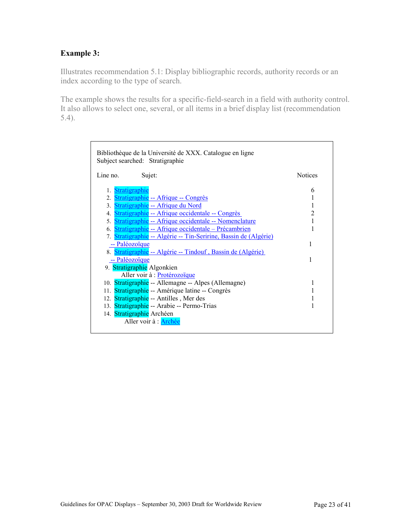# **Example 3:**

Illustrates recommendation 5.1: Display bibliographic records, authority records or an index according to the type of search.

The example shows the results for a specific-field-search in a field with authority control. It also allows to select one, several, or all items in a brief display list (recommendation 5.4).

| Bibliothèque de la Université de XXX. Catalogue en ligne<br>Subject searched: Stratigraphie |                |
|---------------------------------------------------------------------------------------------|----------------|
| Line no.<br>Sujet:                                                                          | <b>Notices</b> |
| 1. Stratigraphie                                                                            | 6              |
| 2. Stratigraphie -- Afrique -- Congrès                                                      | 1              |
| 3. Stratigraphie -- Afrique du Nord                                                         | 1              |
| 4. Stratigraphie -- Afrique occidentale -- Congrès                                          | $\overline{2}$ |
| 5. Stratigraphie -- Afrique occidentale -- Nomenclature                                     |                |
| 6. Stratigraphie -- Afrique occidentale - Précambrien                                       |                |
| 7. Stratigraphie -- Algérie -- Tin-Seririne, Bassin de (Algérie)                            |                |
| -- Paléozoïque                                                                              | 1              |
| 8. Stratigraphie -- Algérie -- Tindouf, Bassin de (Algérie)                                 |                |
| -- Paléozoïque                                                                              | 1              |
| 9. Stratigraphie Algonkien                                                                  |                |
| Aller voir à : <b>Protérozoïque</b>                                                         |                |
| 10. Stratigraphie -- Allemagne -- Alpes (Allemagne)                                         | 1              |
| 11. Stratigraphie -- Amérique latine -- Congrès                                             | 1              |
| 12. Stratigraphie -- Antilles, Mer des                                                      |                |
| 13. Stratigraphie -- Arabie -- Permo-Trias                                                  |                |
| 14. Stratigraphie Archéen                                                                   |                |
| Aller voir à : Archée                                                                       |                |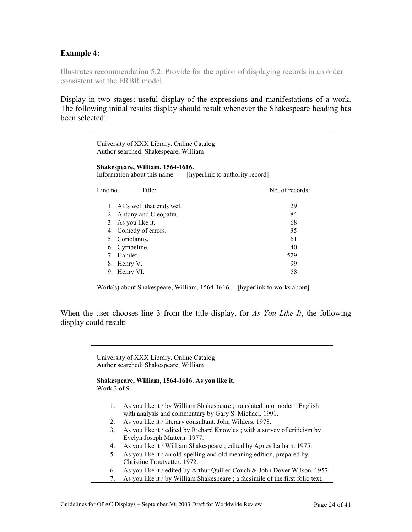#### **Example 4:**

Illustrates recommendation 5.2: Provide for the option of displaying records in an order consistent wit the FRBR model.

Display in two stages; useful display of the expressions and manifestations of a work. The following initial results display should result whenever the Shakespeare heading has been selected:

| University of XXX Library. Online Catalog<br>Author searched: Shakespeare, William                 |                            |  |  |
|----------------------------------------------------------------------------------------------------|----------------------------|--|--|
| Shakespeare, William, 1564-1616.<br>Information about this name<br>[hyperlink to authority record] |                            |  |  |
| Title:<br>Line no.                                                                                 | No. of records:            |  |  |
| 1. All's well that ends well.                                                                      | 29                         |  |  |
| 2. Antony and Cleopatra.                                                                           | 84                         |  |  |
| 3. As you like it.                                                                                 | 68                         |  |  |
| 4. Comedy of errors.                                                                               | 35                         |  |  |
| 5. Coriolanus.                                                                                     | 61                         |  |  |
| 6. Cymbeline.                                                                                      | 40                         |  |  |
| 7 Hamlet                                                                                           | 529                        |  |  |
| 8. Henry V.                                                                                        | 99                         |  |  |
| 9. Henry VI.                                                                                       | 58                         |  |  |
| Work(s) about Shakespeare, William, 1564-1616                                                      | [hyperlink to works about] |  |  |

When the user chooses line 3 from the title display, for *As You Like It*, the following display could result:

> University of XXX Library. Online Catalog Author searched: Shakespeare, William **Shakespeare, William, 1564-1616. As you like it.** Work 3 of 9 1. As you like it / by William Shakespeare ; translated into modern English with analysis and commentary by Gary S. Michael. 1991. 2. As you like it / literary consultant, John Wilders. 1978. 3. As you like it / edited by Richard Knowles ; with a survey of criticism by Evelyn Joseph Mattern. 1977. 4. As you like it / William Shakespeare ; edited by Agnes Latham. 1975. 5. As you like it : an old-spelling and old-meaning edition, prepared by Christine Trautvetter. 1972. 6. As you like it / edited by Arthur Quiller-Couch & John Dover Wilson. 1957. 7. As you like it / by William Shakespeare ; a facsimile of the first folio text,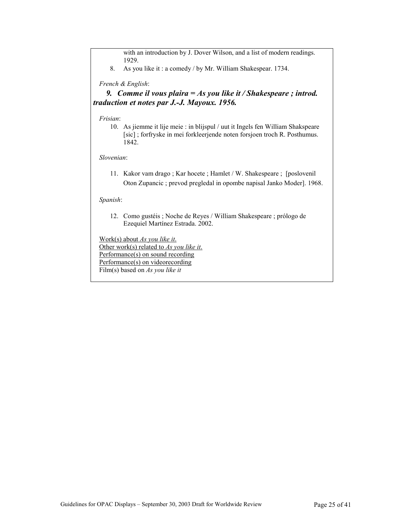with an introduction by J. Dover Wilson, and a list of modern readings. 1929.

8. As you like it : a comedy / by Mr. William Shakespear. 1734.

*French & English*:

 *9. Comme il vous plaira = As you like it / Shakespeare ; introd. traduction et notes par J.-J. Mayoux. 1956.* 

*Frisian*:

 10. As jiemme it lije meie : in blijspul / uut it Ingels fen William Shakspeare [sic] ; forfryske in mei forkleerjende noten forsjoen troch R. Posthumus. 1842.

*Slovenian*:

 11. Kakor vam drago ; Kar hocete ; Hamlet / W. Shakespeare ; [poslovenil Oton Zupancic ; prevod pregledal in opombe napisal Janko Moder]. 1968.

*Spanish*:

 12. Como gustéis ; Noche de Reyes / William Shakespeare ; prólogo de Ezequiel Martínez Estrada. 2002.

Work(s) about *As you like it*. Other work(s) related to *As you like it*. Performance(s) on sound recording Performance(s) on videorecording Film(s) based on *As you like it*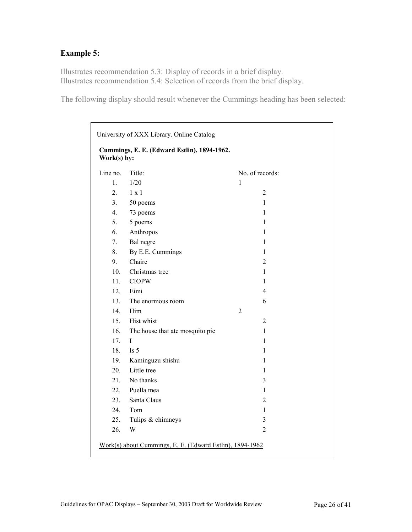# **Example 5:**

Illustrates recommendation 5.3: Display of records in a brief display. Illustrates recommendation 5.4: Selection of records from the brief display.

The following display should result whenever the Cummings heading has been selected:

| University of XXX Library. Online Catalog                  |                                 |                 |  |
|------------------------------------------------------------|---------------------------------|-----------------|--|
| Cummings, E. E. (Edward Estlin), 1894-1962.<br>Work(s) by: |                                 |                 |  |
| Line no.                                                   | Title:                          | No. of records: |  |
| $\mathbf{1}$ .                                             | 1/20                            | 1               |  |
| 2.                                                         | $1 \times 1$                    | $\overline{2}$  |  |
| 3 <sub>1</sub>                                             | 50 poems                        | 1               |  |
| 4.                                                         | 73 poems                        | 1               |  |
| 5.                                                         | 5 poems                         | 1               |  |
| 6.                                                         | Anthropos                       | $\mathbf{1}$    |  |
| 7.                                                         | Bal negre                       | 1               |  |
| 8.                                                         | By E.E. Cummings                | 1               |  |
| 9.                                                         | Chaire                          | $\overline{c}$  |  |
| 10.                                                        | Christmas tree                  | 1               |  |
| 11.                                                        | <b>CIOPW</b>                    | 1               |  |
| 12.                                                        | Eimi                            | $\overline{4}$  |  |
| 13.                                                        | The enormous room               | 6               |  |
| 14.                                                        | Him                             | 2               |  |
| 15.                                                        | Hist whist                      | $\overline{2}$  |  |
| 16.                                                        | The house that ate mosquito pie | 1               |  |
| 17 <sub>1</sub>                                            | I                               | 1               |  |
| 18.                                                        | Is $5$                          | 1               |  |
| 19.                                                        | Kaminguzu shishu                | 1               |  |
| 20.                                                        | Little tree                     | 1               |  |
| 21.                                                        | No thanks                       | 3               |  |
| 22.                                                        | Puella mea                      | 1               |  |
| 23.                                                        | Santa Claus                     | $\overline{c}$  |  |
| 24.                                                        | Tom                             | 1               |  |
| 25.                                                        | Tulips & chimneys               | 3               |  |
| 26.                                                        | W                               | $\overline{2}$  |  |
| Work(s) about Cummings, E. E. (Edward Estlin), 1894-1962   |                                 |                 |  |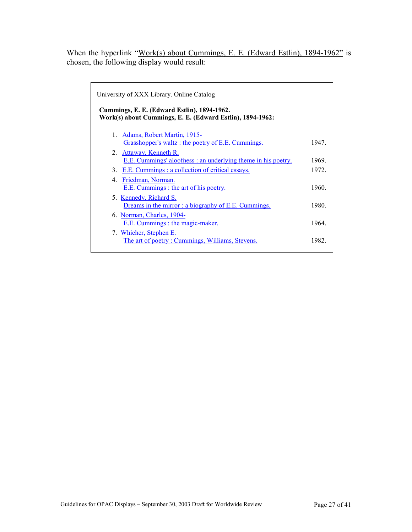When the hyperlink "Work(s) about Cummings, E. E. (Edward Estlin), 1894-1962" is chosen, the following display would result:

| 1947. |
|-------|
|       |
| 1969. |
| 1972  |
|       |
| 1960. |
|       |
| 1980. |
|       |
| 1964  |
|       |
| 1982  |
|       |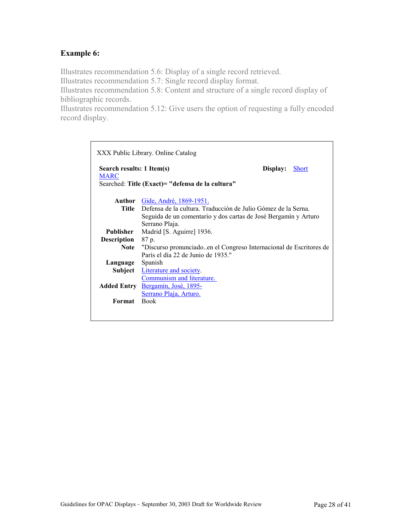## **Example 6:**

Illustrates recommendation 5.6: Display of a single record retrieved.

Illustrates recommendation 5.7: Single record display format.

Illustrates recommendation 5.8: Content and structure of a single record display of bibliographic records.

Illustrates recommendation 5.12: Give users the option of requesting a fully encoded record display.

|                                          | XXX Public Library. Online Catalog                                         |          |              |
|------------------------------------------|----------------------------------------------------------------------------|----------|--------------|
| Search results: 1 Item(s)<br><b>MARC</b> | Searched: Title (Exact) = "defensa de la cultura"                          | Display: | <b>Short</b> |
|                                          | <b>Author</b> Gide, André, 1869-1951.                                      |          |              |
|                                          | <b>Title</b> Defensa de la cultura. Traducción de Julio Gómez de la Serna. |          |              |
|                                          | Seguida de un comentario y dos cartas de José Bergamín y Arturo            |          |              |
|                                          | Serrano Plaja.                                                             |          |              |
| Publisher                                | Madrid [S. Aguirre] 1936.                                                  |          |              |
| <b>Description</b> 87 p.                 |                                                                            |          |              |
|                                          | Note "Discurso pronunciadoen el Congreso Internacional de Escritores de    |          |              |
|                                          | París el día 22 de Junio de 1935."                                         |          |              |
| Language Spanish                         |                                                                            |          |              |
|                                          | <b>Subject</b> Literature and society.                                     |          |              |
|                                          | Communism and literature.                                                  |          |              |
|                                          | Added Entry Bergamín, José, 1895-                                          |          |              |
|                                          | Serrano Plaja, Arturo.                                                     |          |              |
| Format                                   | <b>Book</b>                                                                |          |              |
|                                          |                                                                            |          |              |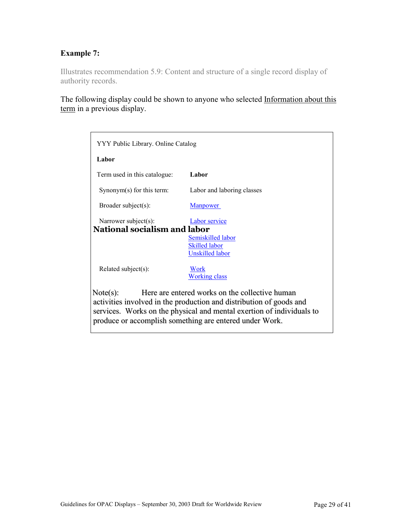# **Example 7:**

Illustrates recommendation 5.9: Content and structure of a single record display of authority records.

The following display could be shown to anyone who selected Information about this term in a previous display.

| YYY Public Library. Online Catalog                                                                                                                                                                                                                                    |                                                                                             |  |  |
|-----------------------------------------------------------------------------------------------------------------------------------------------------------------------------------------------------------------------------------------------------------------------|---------------------------------------------------------------------------------------------|--|--|
| Labor                                                                                                                                                                                                                                                                 |                                                                                             |  |  |
| Term used in this catalogue:                                                                                                                                                                                                                                          | Labor                                                                                       |  |  |
| Synonym(s) for this term:                                                                                                                                                                                                                                             | Labor and laboring classes                                                                  |  |  |
| Broader subject(s):                                                                                                                                                                                                                                                   | <b>Manpower</b>                                                                             |  |  |
| Narrower subject(s):<br><b>National socialism and labor</b>                                                                                                                                                                                                           | <b>Labor</b> service<br>Semiskilled labor<br><b>Skilled labor</b><br><b>Unskilled labor</b> |  |  |
| Related subject(s):                                                                                                                                                                                                                                                   | <b>Work</b><br><b>Working class</b>                                                         |  |  |
| Here are entered works on the collective human<br>Note(s):<br>activities involved in the production and distribution of goods and<br>services. Works on the physical and mental exertion of individuals to<br>produce or accomplish something are entered under Work. |                                                                                             |  |  |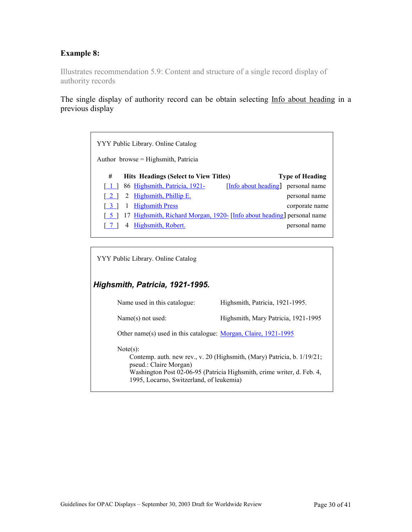# **Example 8:**

Illustrates recommendation 5.9: Content and structure of a single record display of authority records

The single display of authority record can be obtain selecting Info about heading in a previous display

|       | YYY Public Library. Online Catalog                                     |                                    |
|-------|------------------------------------------------------------------------|------------------------------------|
|       | Author browse = Highsmith, Patricia                                    |                                    |
| #     | <b>Hits Headings (Select to View Titles)</b>                           | <b>Type of Heading</b>             |
| 1 I I | 86 Highsmith, Patricia, 1921-                                          | [Info about heading] personal name |
| l 21  | <u>Highsmith, Phillip E.</u><br>2                                      | personal name                      |
| l 3 I | <b>Highsmith Press</b><br>1                                            | corporate name                     |
|       | 17 Highsmith, Richard Morgan, 1920- [Info about heading] personal name |                                    |
|       | Highsmith, Robert.                                                     | personal name                      |

YYY Public Library. Online Catalog

# *Highsmith, Patricia, 1921-1995.*

| Name used in this catalogue:                                                   | Highsmith, Patricia, 1921-1995.                                                                                                                   |
|--------------------------------------------------------------------------------|---------------------------------------------------------------------------------------------------------------------------------------------------|
| $Name(s)$ not used:                                                            | Highsmith, Mary Patricia, 1921-1995                                                                                                               |
| Other name(s) used in this catalogue: Morgan, Claire, 1921-1995                |                                                                                                                                                   |
| Note(s):<br>pseud.: Claire Morgan)<br>1995, Locarno, Switzerland, of leukemia) | Contemp. auth. new rev., v. 20 (Highsmith, (Mary) Patricia, b. 1/19/21;<br>Washington Post 02-06-95 (Patricia Highsmith, crime writer, d. Feb. 4, |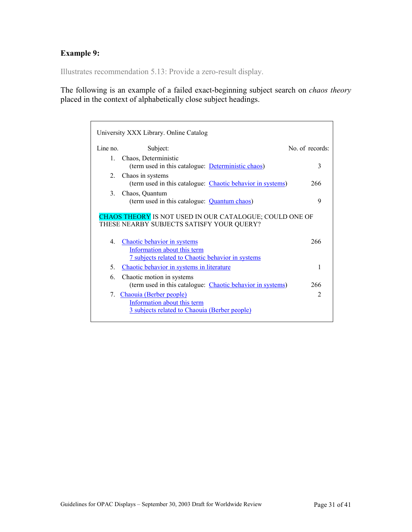# **Example 9:**

Illustrates recommendation 5.13: Provide a zero-result display.

The following is an example of a failed exact-beginning subject search on *chaos theory* placed in the context of alphabetically close subject headings.

|                | University XXX Library. Online Catalog                                                                                        |                |
|----------------|-------------------------------------------------------------------------------------------------------------------------------|----------------|
| Line no        | Subject:                                                                                                                      | No of records: |
| $\mathbf{1}$   | Chaos, Deterministic<br>(term used in this catalogue: Deterministic chaos)                                                    | 3              |
| $2^{\circ}$    | Chaos in systems<br>(term used in this catalogue: <i>Chaotic behavior in systems</i> )                                        | 266            |
| $\mathcal{E}$  | Chaos, Quantum<br>(term used in this catalogue: Quantum chaos)                                                                | 9              |
|                | <b>CHAOS THEORY IS NOT USED IN OUR CATALOGUE; COULD ONE OF</b><br>THESE NEARBY SUBJECTS SATISFY YOUR QUERY?                   |                |
| $\overline{4}$ | Chaotic behavior in systems<br>Information about this term<br><u><b>7</b> subjects related to Chaotic behavior in systems</u> | 266            |
| 5.             | Chaotic behavior in systems in literature                                                                                     | 1              |
| 6.             | Chaotic motion in systems<br>(term used in this catalogue: <i>Chaotic behavior in systems</i> )                               | 266            |
| 7.             | Chaouia (Berber people)<br>Information about this term<br>3 subjects related to Chaouia (Berber people)                       | $\mathfrak{D}$ |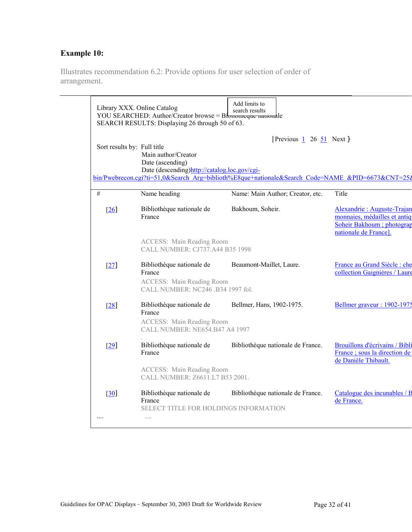# **Example 10:**

Illustrates recommendation 6.2: Provide options for user selection of order of arrangement.

|                        | Library XXX. Online Catalog<br>YOU SEARCHED: Author/Creator browse = Bibnoincque nationale<br>SEARCH RESULTS: Displaying 26 through 50 of 63. | Add limits to<br>search results                                                                                                                     |                                                                                                                  |
|------------------------|-----------------------------------------------------------------------------------------------------------------------------------------------|-----------------------------------------------------------------------------------------------------------------------------------------------------|------------------------------------------------------------------------------------------------------------------|
|                        | Sort results by: Full title<br>Main author/Creator<br>Date (ascending)<br>Date (descending)http://catalog.loc.gov/cgi-                        | Previous $\frac{1}{1}$ 26 $\frac{51}{1}$ Next }<br>bin/Pwebrecon.cgi?ti=51.0&Search_Arg=biblioth%E8que+nationale&Search_Code=NAME_&PID=6673&CNT=25& |                                                                                                                  |
| #                      | Name heading                                                                                                                                  | Name: Main Author; Creator, etc.                                                                                                                    | Title                                                                                                            |
| [26]                   | Bibliothèque nationale de<br>France                                                                                                           | Bakhoum, Soheir.                                                                                                                                    | Alexandrie: Auguste-Trajan<br>monnaies, médailles et antiq<br>Soheir Bakhoum; photograp<br>nationale de France]. |
|                        | <b>ACCESS: Main Reading Room</b><br>CALL NUMBER: CJ737.A44 B35 1998                                                                           |                                                                                                                                                     |                                                                                                                  |
| [27]                   | Bibliothèque nationale de<br>France                                                                                                           | Beaumont-Maillet, Laure.                                                                                                                            | France au Grand Siècle : che<br>collection Gaignières / Laure                                                    |
|                        | <b>ACCESS:</b> Main Reading Room<br>CALL NUMBER: NC246 .B34 1997 fol.                                                                         |                                                                                                                                                     |                                                                                                                  |
| $[28]$                 | Bibliothèque nationale de<br>France                                                                                                           | Bellmer, Hans, 1902-1975.                                                                                                                           | Bellmer graveur : 1902-1975                                                                                      |
|                        | <b>ACCESS:</b> Main Reading Room<br>CALL NUMBER: NE654.B47 A4 1997                                                                            |                                                                                                                                                     |                                                                                                                  |
| [29]                   | Bibliothèque nationale de<br>France                                                                                                           | Bibliothèque nationale de France.                                                                                                                   | Brouillons d'écrivains / Bibli<br>France; sous la direction de<br>de Danièle Thibault.                           |
|                        | <b>ACCESS:</b> Main Reading Room<br>CALL NUMBER: Z6611.L7 B53 2001.                                                                           |                                                                                                                                                     |                                                                                                                  |
| $\left[30\right]$<br>. | Bibliothèque nationale de<br>France<br><b>SELECT TITLE FOR HOLDINGS INFORMATION</b><br>$\sim$                                                 | Bibliothèque nationale de France.                                                                                                                   | Catalogue des incunables / B<br>de France.                                                                       |
|                        |                                                                                                                                               |                                                                                                                                                     |                                                                                                                  |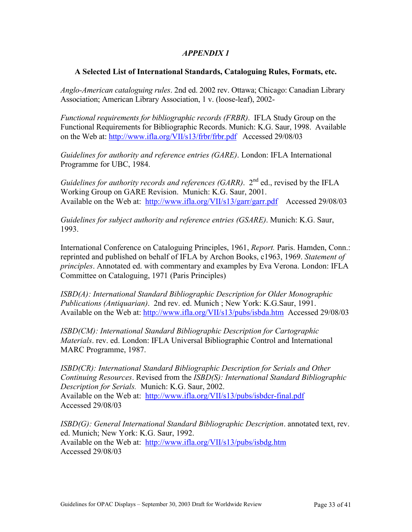## *APPENDIX 1*

#### **A Selected List of International Standards, Cataloguing Rules, Formats, etc.**

*Anglo-American cataloguing rules*. 2nd ed. 2002 rev. Ottawa; Chicago: Canadian Library Association; American Library Association, 1 v. (loose-leaf), 2002-

*Functional requirements for bibliographic records (FRBR)*. IFLA Study Group on the Functional Requirements for Bibliographic Records. Munich: K.G. Saur, 1998. Available on the Web at: http://www.ifla.org/VII/s13/frbr/frbr.pdf Accessed 29/08/03

*Guidelines for authority and reference entries (GARE)*. London: IFLA International Programme for UBC, 1984.

*Guidelines for authority records and references (GARR)*. 2<sup>nd</sup> ed., revised by the IFLA Working Group on GARE Revision. Munich: K.G. Saur, 2001. Available on the Web at: <http://www.ifla.org/VII/s13/garr/garr.pdf>Accessed 29/08/03

*Guidelines for subject authority and reference entries (GSARE)*. Munich: K.G. Saur, 1993.

International Conference on Cataloguing Principles, 1961, *Report.* Paris. Hamden, Conn.: reprinted and published on behalf of IFLA by Archon Books, c1963, 1969. *Statement of principles*. Annotated ed. with commentary and examples by Eva Verona. London: IFLA Committee on Cataloguing, 1971 (Paris Principles)

*ISBD(A): International Standard Bibliographic Description for Older Monographic Publications (Antiquarian)*. 2nd rev. ed. Munich ; New York: K.G.Saur, 1991. Available on the Web at: <http://www.ifla.org/VII/s13/pubs/isbda.htm>Accessed 29/08/03

*ISBD(CM): International Standard Bibliographic Description for Cartographic Materials*. rev. ed. London: IFLA Universal Bibliographic Control and International MARC Programme, 1987.

*ISBD(CR): International Standard Bibliographic Description for Serials and Other Continuing Resources*. Revised from the *ISBD(S): International Standard Bibliographic Description for Serials.* Munich: K.G. Saur, 2002. Available on the Web at: <http://www.ifla.org/VII/s13/pubs/isbdcr-final.pdf> Accessed 29/08/03

*ISBD(G): General International Standard Bibliographic Description*. annotated text, rev. ed. Munich; New York: K.G. Saur, 1992. Available on the Web at: <http://www.ifla.org/VII/s13/pubs/isbdg.htm> Accessed 29/08/03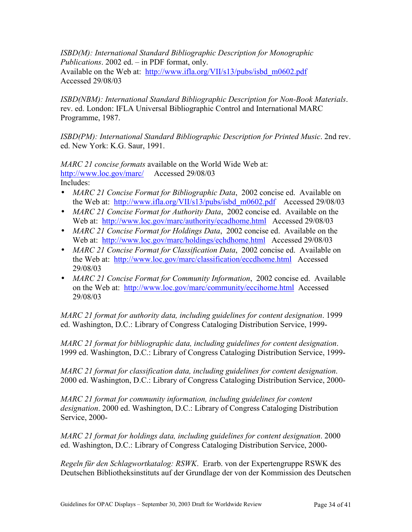*ISBD(M): International Standard Bibliographic Description for Monographic Publications*. 2002 ed. – in PDF format, only. Available on the Web at: [http://www.ifla.org/VII/s13/pubs/isbd\\_m0602.pdf](http://www.ifla.org/VII/s13/pubs/isbd_m0602.pdf) Accessed 29/08/03

*ISBD(NBM): International Standard Bibliographic Description for Non-Book Materials*. rev. ed. London: IFLA Universal Bibliographic Control and International MARC Programme, 1987.

*ISBD(PM): International Standard Bibliographic Description for Printed Music.* 2nd rev. ed. New York: K.G. Saur, 1991.

*MARC 21 concise formats* available on the World Wide Web at: <http://www.loc.gov/marc/>Accessed 29/08/03 Includes:

- *MARC 21 Concise Format for Bibliographic Data*, 2002 concise ed. Available on the Web at: [http://www.ifla.org/VII/s13/pubs/isbd\\_m0602.pdf](http://www.ifla.org/VII/s13/pubs/isbd_m0602.pdf) Accessed 29/08/03
- *MARC 21 Concise Format for Authority Data*, 2002 concise ed. Available on the Web at: <http://www.loc.gov/marc/authority/ecadhome.html>Accessed 29/08/03
- *MARC 21 Concise Format for Holdings Data*, 2002 concise ed. Available on the Web at: <http://www.loc.gov/marc/holdings/echdhome.html>Accessed 29/08/03
- *MARC 21 Concise Format for Classification Data*, 2002 concise ed. Available on the Web at: <http://www.loc.gov/marc/classification/eccdhome.html>Accessed 29/08/03
- *MARC 21 Concise Format for Community Information*, 2002 concise ed. Available on the Web at: <http://www.loc.gov/marc/community/eccihome.html>Accessed 29/08/03

*MARC 21 format for authority data, including guidelines for content designation*. 1999 ed. Washington, D.C.: Library of Congress Cataloging Distribution Service, 1999-

*MARC 21 format for bibliographic data, including guidelines for content designation*. 1999 ed. Washington, D.C.: Library of Congress Cataloging Distribution Service, 1999-

*MARC 21 format for classification data, including guidelines for content designation*. 2000 ed. Washington, D.C.: Library of Congress Cataloging Distribution Service, 2000-

*MARC 21 format for community information, including guidelines for content designation*. 2000 ed. Washington, D.C.: Library of Congress Cataloging Distribution Service, 2000-

*MARC 21 format for holdings data, including guidelines for content designation*. 2000 ed. Washington, D.C.: Library of Congress Cataloging Distribution Service, 2000-

*Regeln für den Schlagwortkatalog: RSWK*. Erarb. von der Expertengruppe RSWK des Deutschen Bibliotheksinstituts auf der Grundlage der von der Kommission des Deutschen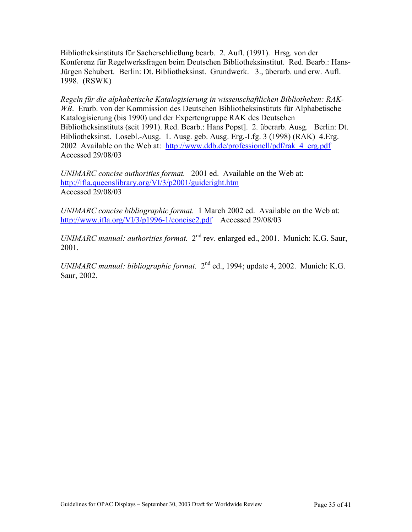Bibliotheksinstituts für Sacherschließung bearb. 2. Aufl. (1991). Hrsg. von der Konferenz für Regelwerksfragen beim Deutschen Bibliotheksinstitut. Red. Bearb.: Hans-Jürgen Schubert. Berlin: Dt. Bibliotheksinst. Grundwerk. 3., überarb. und erw. Aufl. 1998. (RSWK)

*Regeln für die alphabetische Katalogisierung in wissenschaftlichen Bibliotheken: RAK-WB*. Erarb. von der Kommission des Deutschen Bibliotheksinstituts für Alphabetische Katalogisierung (bis 1990) und der Expertengruppe RAK des Deutschen Bibliotheksinstituts (seit 1991). Red. Bearb.: Hans Popst]. 2. überarb. Ausg. Berlin: Dt. Bibliotheksinst. Losebl.-Ausg. 1. Ausg. geb. Ausg. Erg.-Lfg. 3 (1998) (RAK) 4.Erg. 2002 Available on the Web at: [http://www.ddb.de/professionell/pdf/rak\\_4\\_erg.pdf](http://www.ddb.de/professionell/pdf/rak_4_erg.pdf) Accessed 29/08/03

*UNIMARC concise authorities format.* 2001 ed. Available on the Web at: <http://ifla.queenslibrary.org/VI/3/p2001/guideright.htm> Accessed 29/08/03

*UNIMARC concise bibliographic format.* 1 March 2002 ed. Available on the Web at: <http://www.ifla.org/VI/3/p1996-1/concise2.pdf>Accessed 29/08/03

*UNIMARC manual: authorities format.*  $2<sup>nd</sup>$  rev. enlarged ed., 2001. Munich: K.G. Saur, 2001.

*UNIMARC manual: bibliographic format.*  $2<sup>nd</sup>$  ed., 1994; update 4, 2002. Munich: K.G. Saur, 2002.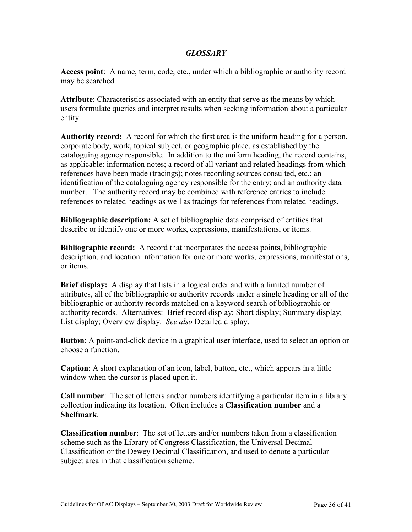#### *GLOSSARY*

**Access point**: A name, term, code, etc., under which a bibliographic or authority record may be searched.

**Attribute**: Characteristics associated with an entity that serve as the means by which users formulate queries and interpret results when seeking information about a particular entity.

**Authority record:** A record for which the first area is the uniform heading for a person, corporate body, work, topical subject, or geographic place, as established by the cataloguing agency responsible. In addition to the uniform heading, the record contains, as applicable: information notes; a record of all variant and related headings from which references have been made (tracings); notes recording sources consulted, etc.; an identification of the cataloguing agency responsible for the entry; and an authority data number. The authority record may be combined with reference entries to include references to related headings as well as tracings for references from related headings.

**Bibliographic description:** A set of bibliographic data comprised of entities that describe or identify one or more works, expressions, manifestations, or items.

**Bibliographic record:** A record that incorporates the access points, bibliographic description, and location information for one or more works, expressions, manifestations, or items.

**Brief display:** A display that lists in a logical order and with a limited number of attributes, all of the bibliographic or authority records under a single heading or all of the bibliographic or authority records matched on a keyword search of bibliographic or authority records. Alternatives: Brief record display; Short display; Summary display; List display; Overview display. *See also* Detailed display.

**Button**: A point-and-click device in a graphical user interface, used to select an option or choose a function.

**Caption**: A short explanation of an icon, label, button, etc., which appears in a little window when the cursor is placed upon it.

**Call number**: The set of letters and/or numbers identifying a particular item in a library collection indicating its location. Often includes a **Classification number** and a **Shelfmark**.

**Classification number**: The set of letters and/or numbers taken from a classification scheme such as the Library of Congress Classification, the Universal Decimal Classification or the Dewey Decimal Classification, and used to denote a particular subject area in that classification scheme.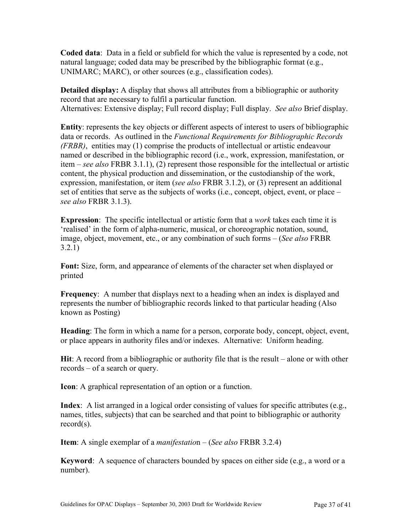**Coded data**: Data in a field or subfield for which the value is represented by a code, not natural language; coded data may be prescribed by the bibliographic format (e.g., UNIMARC; MARC), or other sources (e.g., classification codes).

**Detailed display:** A display that shows all attributes from a bibliographic or authority record that are necessary to fulfil a particular function. Alternatives: Extensive display; Full record display; Full display. *See also* Brief display.

**Entity**: represents the key objects or different aspects of interest to users of bibliographic data or records. As outlined in the *Functional Requirements for Bibliographic Records (FRBR)*, entities may (1) comprise the products of intellectual or artistic endeavour named or described in the bibliographic record (i.e., work, expression, manifestation, or item – *see also* FRBR 3.1.1), (2) represent those responsible for the intellectual or artistic content, the physical production and dissemination, or the custodianship of the work, expression, manifestation, or item (*see also* FRBR 3.1.2), or (3) represent an additional set of entities that serve as the subjects of works (i.e., concept, object, event, or place – *see also* FRBR 3.1.3).

**Expression**: The specific intellectual or artistic form that a *work* takes each time it is 'realised' in the form of alpha-numeric, musical, or choreographic notation, sound, image, object, movement, etc., or any combination of such forms – (*See also* FRBR 3.2.1)

**Font:** Size, form, and appearance of elements of the character set when displayed or printed

**Frequency**: A number that displays next to a heading when an index is displayed and represents the number of bibliographic records linked to that particular heading (Also known as Posting)

**Heading**: The form in which a name for a person, corporate body, concept, object, event, or place appears in authority files and/or indexes. Alternative: Uniform heading.

**Hit**: A record from a bibliographic or authority file that is the result – alone or with other records – of a search or query.

**Icon**: A graphical representation of an option or a function.

**Index**: A list arranged in a logical order consisting of values for specific attributes (e.g., names, titles, subjects) that can be searched and that point to bibliographic or authority record(s).

**Item**: A single exemplar of a *manifestatio*n – (*See also* FRBR 3.2.4)

**Keyword**: A sequence of characters bounded by spaces on either side (e.g., a word or a number).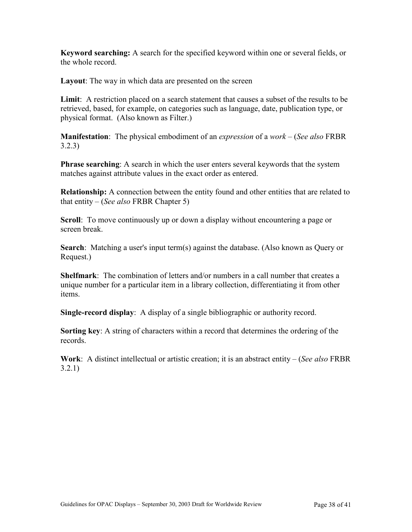**Keyword searching:** A search for the specified keyword within one or several fields, or the whole record.

**Layout**: The way in which data are presented on the screen

**Limit**: A restriction placed on a search statement that causes a subset of the results to be retrieved, based, for example, on categories such as language, date, publication type, or physical format. (Also known as Filter.)

**Manifestation**: The physical embodiment of an *expression* of a *work* – (*See also* FRBR 3.2.3)

**Phrase searching**: A search in which the user enters several keywords that the system matches against attribute values in the exact order as entered.

**Relationship:** A connection between the entity found and other entities that are related to that entity – (*See also* FRBR Chapter 5)

**Scroll**: To move continuously up or down a display without encountering a page or screen break.

**Search**: Matching a user's input term(s) against the database. (Also known as Query or Request.)

**Shelfmark**: The combination of letters and/or numbers in a call number that creates a unique number for a particular item in a library collection, differentiating it from other items.

**Single-record display**: A display of a single bibliographic or authority record.

**Sorting key**: A string of characters within a record that determines the ordering of the records.

**Work**: A distinct intellectual or artistic creation; it is an abstract entity – (*See also* FRBR 3.2.1)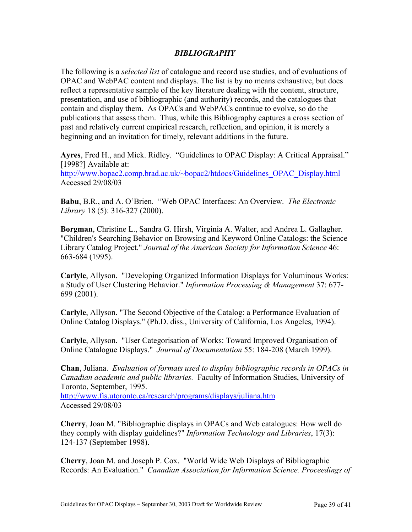#### *BIBLIOGRAPHY*

The following is a *selected list* of catalogue and record use studies, and of evaluations of OPAC and WebPAC content and displays. The list is by no means exhaustive, but does reflect a representative sample of the key literature dealing with the content, structure, presentation, and use of bibliographic (and authority) records, and the catalogues that contain and display them. As OPACs and WebPACs continue to evolve, so do the publications that assess them. Thus, while this Bibliography captures a cross section of past and relatively current empirical research, reflection, and opinion, it is merely a beginning and an invitation for timely, relevant additions in the future.

**Ayres**, Fred H., and Mick. Ridley. "Guidelines to OPAC Display: A Critical Appraisal." [1998?] Available at:

[http://www.bopac2.comp.brad.ac.uk/~bopac2/htdocs/Guidelines\\_OPAC\\_Display.html](http://www.bopac2.comp.brad.ac.uk/~bopac2/htdocs/Guidelines_OPAC_Display.html) Accessed 29/08/03

**Babu**, B.R., and A. O'Brien. "Web OPAC Interfaces: An Overview. *The Electronic Library* 18 (5): 316-327 (2000).

**Borgman**, Christine L., Sandra G. Hirsh, Virginia A. Walter, and Andrea L. Gallagher. "Children's Searching Behavior on Browsing and Keyword Online Catalogs: the Science Library Catalog Project." *Journal of the American Society for Information Science* 46: 663-684 (1995).

**Carlyle**, Allyson. "Developing Organized Information Displays for Voluminous Works: a Study of User Clustering Behavior." *Information Processing & Management* 37: 677- 699 (2001).

**Carlyle**, Allyson. "The Second Objective of the Catalog: a Performance Evaluation of Online Catalog Displays." (Ph.D. diss., University of California, Los Angeles, 1994).

**Carlyle**, Allyson. "User Categorisation of Works: Toward Improved Organisation of Online Catalogue Displays." *Journal of Documentation* 55: 184-208 (March 1999).

**Chan**, Juliana. *Evaluation of formats used to display bibliographic records in OPACs in Canadian academic and public libraries.* Faculty of Information Studies, University of Toronto, September, 1995.

<http://www.fis.utoronto.ca/research/programs/displays/juliana.htm> Accessed 29/08/03

**Cherry**, Joan M. "Bibliographic displays in OPACs and Web catalogues: How well do they comply with display guidelines?" *Information Technology and Libraries*, 17(3): 124-137 (September 1998).

**Cherry**, Joan M. and Joseph P. Cox. "World Wide Web Displays of Bibliographic Records: An Evaluation." *Canadian Association for Information Science. Proceedings of*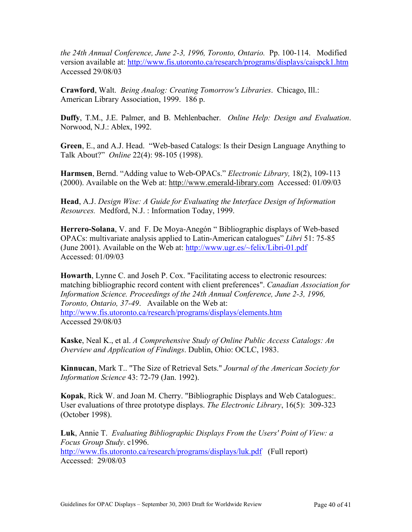*the 24th Annual Conference, June 2-3, 1996, Toronto, Ontario.* Pp. 100-114. Modified version available at: <http://www.fis.utoronto.ca/research/programs/displays/caispck1.htm> Accessed 29/08/03

**Crawford**, Walt. *Being Analog: Creating Tomorrow's Libraries*. Chicago, Ill.: American Library Association, 1999. 186 p.

**Duffy**, T.M., J.E. Palmer, and B. Mehlenbacher. *Online Help: Design and Evaluation*. Norwood, N.J.: Ablex, 1992.

**Green**, E., and A.J. Head. "Web-based Catalogs: Is their Design Language Anything to Talk About?" *Online* 22(4): 98-105 (1998).

**Harmsen**, Bernd. "Adding value to Web-OPACs." *Electronic Library,* 18(2), 109-113 (2000). Available on the Web at: [http://www.emerald-library.com](#page-4-0) Accessed: 01/09/03

**Head**, A.J. *Design Wise: A Guide for Evaluating the Interface Design of Information Resources.* Medford, N.J. : Information Today, 1999.

**Herrero-Solana**, V. and F. De Moya-Anegón " Bibliographic displays of Web-based OPACs: multivariate analysis applied to Latin-American catalogues" *Libri* 51: 75-85 (June 2001). Available on the Web at: <http://www.ugr.es/~felix/Libri-01.pdf> Accessed: 01/09/03

**Howarth**, Lynne C. and Joseh P. Cox. "Facilitating access to electronic resources: matching bibliographic record content with client preferences". *Canadian Association for Information Science. Proceedings of the 24th Annual Conference, June 2-3, 1996, Toronto, Ontario, 37-49*. Available on the Web at: <http://www.fis.utoronto.ca/research/programs/displays/elements.htm> Accessed 29/08/03

**Kaske**, Neal K., et al. *A Comprehensive Study of Online Public Access Catalogs: An Overview and Application of Findings*. Dublin, Ohio: OCLC, 1983.

**Kinnucan**, Mark T.. "The Size of Retrieval Sets." *Journal of the American Society for Information Science* 43: 72-79 (Jan. 1992).

**Kopak**, Rick W. and Joan M. Cherry. "Bibliographic Displays and Web Catalogues:. User evaluations of three prototype displays. *The Electronic Library*, 16(5): 309-323 (October 1998).

**Luk**, Annie T. *Evaluating Bibliographic Displays From the Users' Point of View: a Focus Group Study*. c1996.

<http://www.fis.utoronto.ca/research/programs/displays/luk.pdf>(Full report) Accessed: 29/08/03